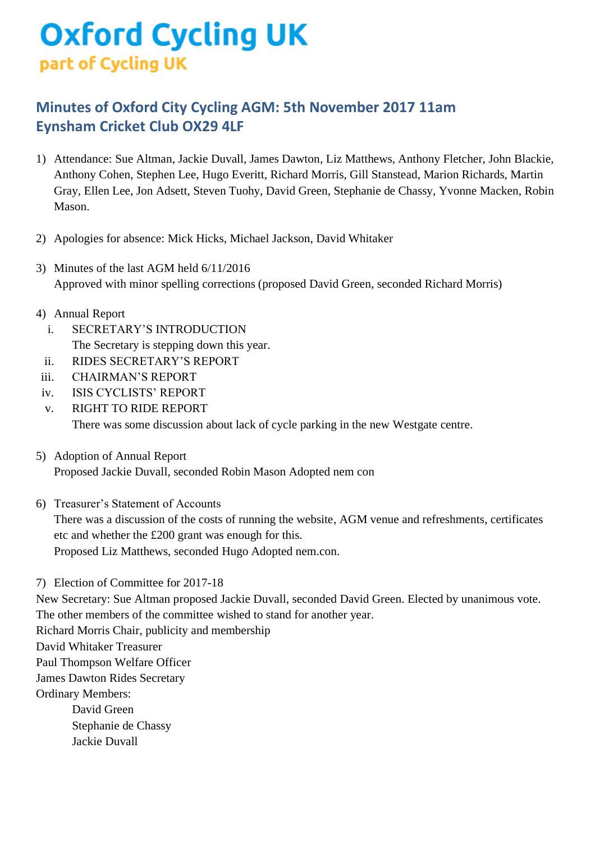## **Oxford Cycling UK** part of Cycling UK

## **Minutes of Oxford City Cycling AGM: 5th November 2017 11am Eynsham Cricket Club OX29 4LF**

- 1) Attendance: Sue Altman, Jackie Duvall, James Dawton, Liz Matthews, Anthony Fletcher, John Blackie, Anthony Cohen, Stephen Lee, Hugo Everitt, Richard Morris, Gill Stanstead, Marion Richards, Martin Gray, Ellen Lee, Jon Adsett, Steven Tuohy, David Green, Stephanie de Chassy, Yvonne Macken, Robin Mason.
- 2) Apologies for absence: Mick Hicks, Michael Jackson, David Whitaker
- 3) Minutes of the last AGM held 6/11/2016 Approved with minor spelling corrections (proposed David Green, seconded Richard Morris)
- 4) Annual Report
	- i. SECRETARY'S INTRODUCTION The Secretary is stepping down this year.
	- ii. RIDES SECRETARY'S REPORT
- iii. CHAIRMAN'S REPORT
- iv. ISIS CYCLISTS' REPORT
- v. RIGHT TO RIDE REPORT There was some discussion about lack of cycle parking in the new Westgate centre.
- 5) Adoption of Annual Report Proposed Jackie Duvall, seconded Robin Mason Adopted nem con
- 6) Treasurer's Statement of Accounts There was a discussion of the costs of running the website, AGM venue and refreshments, certificates etc and whether the £200 grant was enough for this. Proposed Liz Matthews, seconded Hugo Adopted nem.con.
- 7) Election of Committee for 2017-18

New Secretary: Sue Altman proposed Jackie Duvall, seconded David Green. Elected by unanimous vote. The other members of the committee wished to stand for another year. Richard Morris Chair, publicity and membership David Whitaker Treasurer Paul Thompson Welfare Officer James Dawton Rides Secretary Ordinary Members: David Green Stephanie de Chassy Jackie Duvall